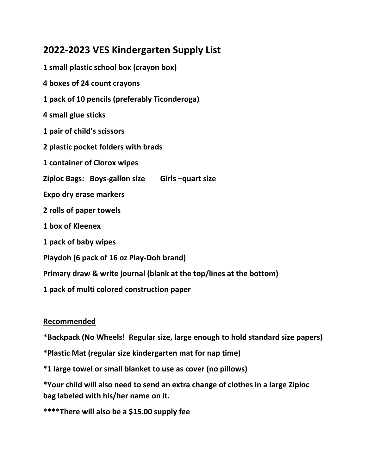### **2022-2023 VES Kindergarten Supply List**

**1 small plastic school box (crayon box) 4 boxes of 24 count crayons 1 pack of 10 pencils (preferably Ticonderoga) 4 small glue sticks 1 pair of child's scissors 2 plastic pocket folders with brads 1 container of Clorox wipes Ziploc Bags: Boys-gallon size Girls –quart size Expo dry erase markers 2 rolls of paper towels 1 box of Kleenex 1 pack of baby wipes Playdoh (6 pack of 16 oz Play-Doh brand) Primary draw & write journal (blank at the top/lines at the bottom) 1 pack of multi colored construction paper**

#### **Recommended**

**\*Backpack (No Wheels! Regular size, large enough to hold standard size papers)**

- **\*Plastic Mat (regular size kindergarten mat for nap time)**
- **\*1 large towel or small blanket to use as cover (no pillows)**

**\*Your child will also need to send an extra change of clothes in a large Ziploc bag labeled with his/her name on it.** 

**\*\*\*\*There will also be a \$15.00 supply fee**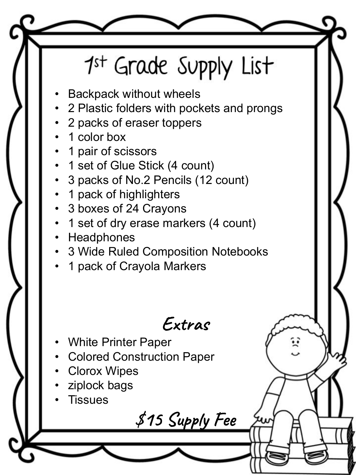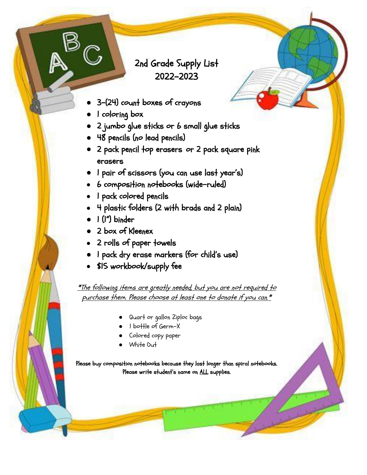### 2nd Grade Supply List 2022-2023

- 3-(24) count boxes of crayons
- I coloring box
- 2 jumbo glue sticks or 6 small glue sticks
- 48 pencils (no lead pencils)
- 2 pack pencil top erasers or 2 pack square pink erasers
- 1 pair of scissors (you can use last year's)
- 6 composition notebooks (wide-ruled)
- I pack colored pencils
- 4 plastic folders (2 with brads and 2 plain)
- 1 (1") binder
- 2 box of Kleenex
- 2 rolls of paper towels
- I pack dry erase markers (for child's use)
- \$15 workbook/supply fee

\*The following items are greatly needed, but you are not required to purchase them. Please choose at least one to donate if you can.\*

- Quart or gallon Ziploc bags
- 1 bottle of Germ-X
- Colored copy paper
- White Out

Please buy composition notebooks because they last longer than spiral notebooks. Please write student's name on ALL supplies.